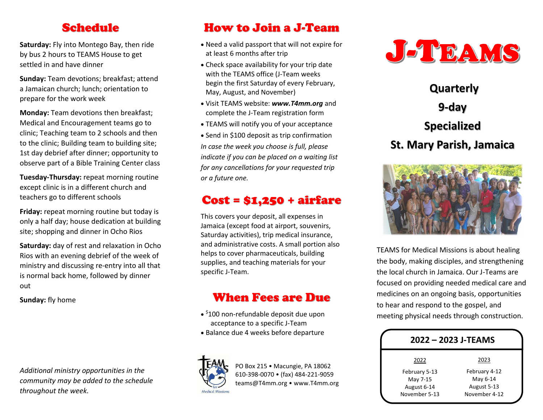## Schedule

**Saturday:** Fly into Montego Bay, then ride by bus 2 hours to TEAMS House to get settled in and have dinner

**Sunday:** Team devotions; breakfast; attend a Jamaican church; lunch; orientation to prepare for the work week

**Monday:** Team devotions then breakfast; Medical and Encouragement teams go to clinic; Teaching team to 2 schools and then to the clinic; Building team to building site; 1st day debrief after dinner; opportunity to observe part of a Bible Training Center class

**Tuesday-Thursday:** repeat morning routine except clinic is in a different church and teachers go to different schools

**Friday:** repeat morning routine but today is only a half day; house dedication at building site; shopping and dinner in Ocho Rios

**Saturday:** day of rest and relaxation in Ocho Rios with an evening debrief of the week of ministry and discussing re-entry into all that is normal back home, followed by dinner out

**Sunday:** fly home

*Additional ministry opportunities in the community may be added to the schedule throughout the week.*

# How to Join a J-Team

- Need a valid passport that will not expire for at least 6 months after trip
- Check space availability for your trip date with the TEAMS office (J-Team weeks begin the first Saturday of every February, May, August, and November)
- Visit TEAMS website: *www.T4mm.org* and complete the J-Team registration form
- TEAMS will notify you of your acceptance

• Send in \$100 deposit as trip confirmation *In case the week you choose is full, please indicate if you can be placed on a waiting list for any cancellations for your requested trip or a future one.*

# Cost = \$1,250 + airfare

This covers your deposit, all expenses in Jamaica (except food at airport, souvenirs, Saturday activities), trip medical insurance, and administrative costs. A small portion also helps to cover pharmaceuticals, building supplies, and teaching materials for your specific J-Team.

# When Fees are Due

- \$100 non-refundable deposit due upon acceptance to a specific J-Team
- Balance due 4 weeks before departure



PO Box 215 • Macungie, PA 18062 610-398-0070 • (fax) 484-221-9059 teams@T4mm.org • www.T4mm.org



**Quarterly 9-day Specialized St. Mary Parish, Jamaica**



TEAMS for Medical Missions is about healing the body, making disciples, and strengthening the local church in Jamaica. Our J-Teams are focused on providing needed medical care and medicines on an ongoing basis, opportunities to hear and respond to the gospel, and meeting physical needs through construction.

| 2022 - 2023 J-TEAMS |               |
|---------------------|---------------|
| 2022                | 2023          |
| February 5-13       | February 4-12 |
| May 7-15            | May 6-14      |
| August 6-14         | August 5-13   |
| November 5-13       | November 4-12 |
|                     |               |